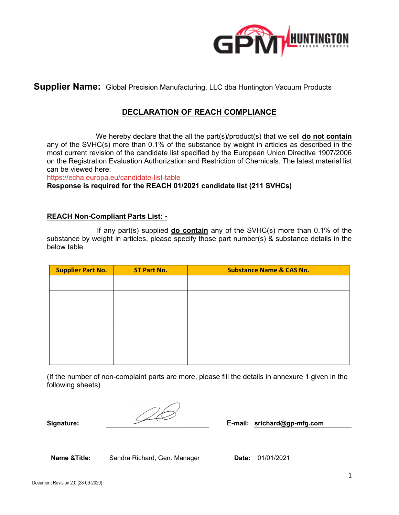

**Supplier Name:** Global Precision Manufacturing, LLC dba Huntington Vacuum Products

# **DECLARATION OF REACH COMPLIANCE**

 We hereby declare that the all the part(s)/product(s) that we sell **do not contain** any of the SVHC(s) more than 0.1% of the substance by weight in articles as described in the most current revision of the candidate list specified by the European Union Directive 1907/2006 on the Registration Evaluation Authorization and Restriction of Chemicals. The latest material list can be viewed here:

<https://echa.europa.eu/candidate-list-table>

**Response is required for the REACH 01/2021 candidate list (211 SVHCs)**

#### **REACH Non-Compliant Parts List: -**

 If any part(s) supplied **do contain** any of the SVHC(s) more than 0.1% of the substance by weight in articles, please specify those part number(s) & substance details in the below table

| <b>Supplier Part No.</b> | <b>ST Part No.</b> | <b>Substance Name &amp; CAS No.</b> |
|--------------------------|--------------------|-------------------------------------|
|                          |                    |                                     |
|                          |                    |                                     |
|                          |                    |                                     |
|                          |                    |                                     |
|                          |                    |                                     |
|                          |                    |                                     |

(If the number of non-complaint parts are more, please fill the details in annexure 1 given in the following sheets)

**Signature:** E-**mail: srichard@gp-mfg.com**

Name & Title: Sandra Richard, Gen. Manager **Date:** 01/01/2021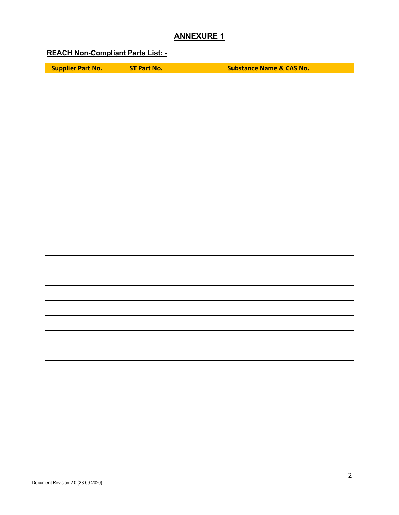#### **ANNEXURE 1**

# **REACH Non-Compliant Parts List: -**

| <b>Supplier Part No.</b> | <b>ST Part No.</b> | <b>Substance Name &amp; CAS No.</b> |
|--------------------------|--------------------|-------------------------------------|
|                          |                    |                                     |
|                          |                    |                                     |
|                          |                    |                                     |
|                          |                    |                                     |
|                          |                    |                                     |
|                          |                    |                                     |
|                          |                    |                                     |
|                          |                    |                                     |
|                          |                    |                                     |
|                          |                    |                                     |
|                          |                    |                                     |
|                          |                    |                                     |
|                          |                    |                                     |
|                          |                    |                                     |
|                          |                    |                                     |
|                          |                    |                                     |
|                          |                    |                                     |
|                          |                    |                                     |
|                          |                    |                                     |
|                          |                    |                                     |
|                          |                    |                                     |
|                          |                    |                                     |
|                          |                    |                                     |
|                          |                    |                                     |
|                          |                    |                                     |
|                          |                    |                                     |
|                          |                    |                                     |
|                          |                    |                                     |
|                          |                    |                                     |
|                          |                    |                                     |